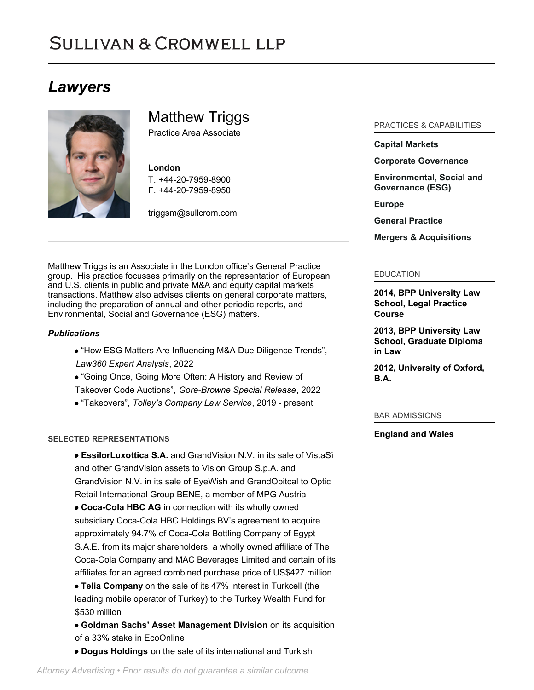# **SULLIVAN & CROMWELL LLP**

# *Lawyers*



Matthew Triggs

Practice Area Associate

#### **London**

T. [+44-20-7959-8900](tel:+44-20-7959-8900) F. [+44-20-7959-8950](tel:+44-20-7959-8950)

[triggsm@sullcrom.com](https://www.sullcrom.com/email-disclaimer?profsid=lawyers/matthew-c-k-triggs)

Matthew Triggs is an Associate in the London office's General Practice group. His practice focusses primarily on the representation of European and U.S. clients in public and private M&A and equity capital markets transactions. Matthew also advises clients on general corporate matters, including the preparation of annual and other periodic reports, and Environmental, Social and Governance (ESG) matters.

## *Publications*

- "How ESG Matters Are Influencing M&A Due Diligence Trends", *Law360 Expert Analysis*, 2022
- "Going Once, Going More Often: A History and Review of

Takeover Code Auctions", *Gore-Browne Special Release*, 2022

"Takeovers", *Tolley's Company Law Service*, 2019 - present

## **SELECTED REPRESENTATIONS**

- **EssilorLuxottica S.A.** and GrandVision N.V. in its sale of VistaSì and other GrandVision assets to Vision Group S.p.A. and GrandVision N.V. in its sale of EyeWish and GrandOpitcal to Optic Retail International Group BENE, a member of MPG Austria
- **Coca-Cola HBC AG** in connection with its wholly owned subsidiary Coca-Cola HBC Holdings BV's agreement to acquire approximately 94.7% of Coca-Cola Bottling Company of Egypt S.A.E. from its major shareholders, a wholly owned affiliate of The Coca-Cola Company and MAC Beverages Limited and certain of its affiliates for an agreed combined purchase price of US\$427 million
- **Telia Company** on the sale of its 47% interest in Turkcell (the leading mobile operator of Turkey) to the Turkey Wealth Fund for \$530 million
- **Goldman Sachs' Asset Management Division** on its acquisition of a 33% stake in EcoOnline
- **Dogus Holdings** on the sale of its international and Turkish

PRACTICES & CAPABILITIES

# **[Capital Markets](https://www.sullcrom.com/capital-markets-practice)**

# **[Corporate Governance](https://www.sullcrom.com/Corporate-Governance-Practice)**

**[Environmental, Social and](https://www.sullcrom.com/environmental-social-and-governance) [Governance \(ESG\)](https://www.sullcrom.com/environmental-social-and-governance)**

**[Europe](https://www.sullcrom.com/europe)**

**[General Practice](https://www.sullcrom.com/general-practice)**

**[Mergers & Acquisitions](https://www.sullcrom.com/Mergers--Acquisitions-Practices)**

# EDUCATION

**2014, BPP University Law School, Legal Practice Course** 

**2013, BPP University Law School, Graduate Diploma in Law** 

**2012, University of Oxford, B.A.** 

#### BAR ADMISSIONS

## **England and Wales**

*Attorney Advertising • Prior results do not guarantee a similar outcome.*